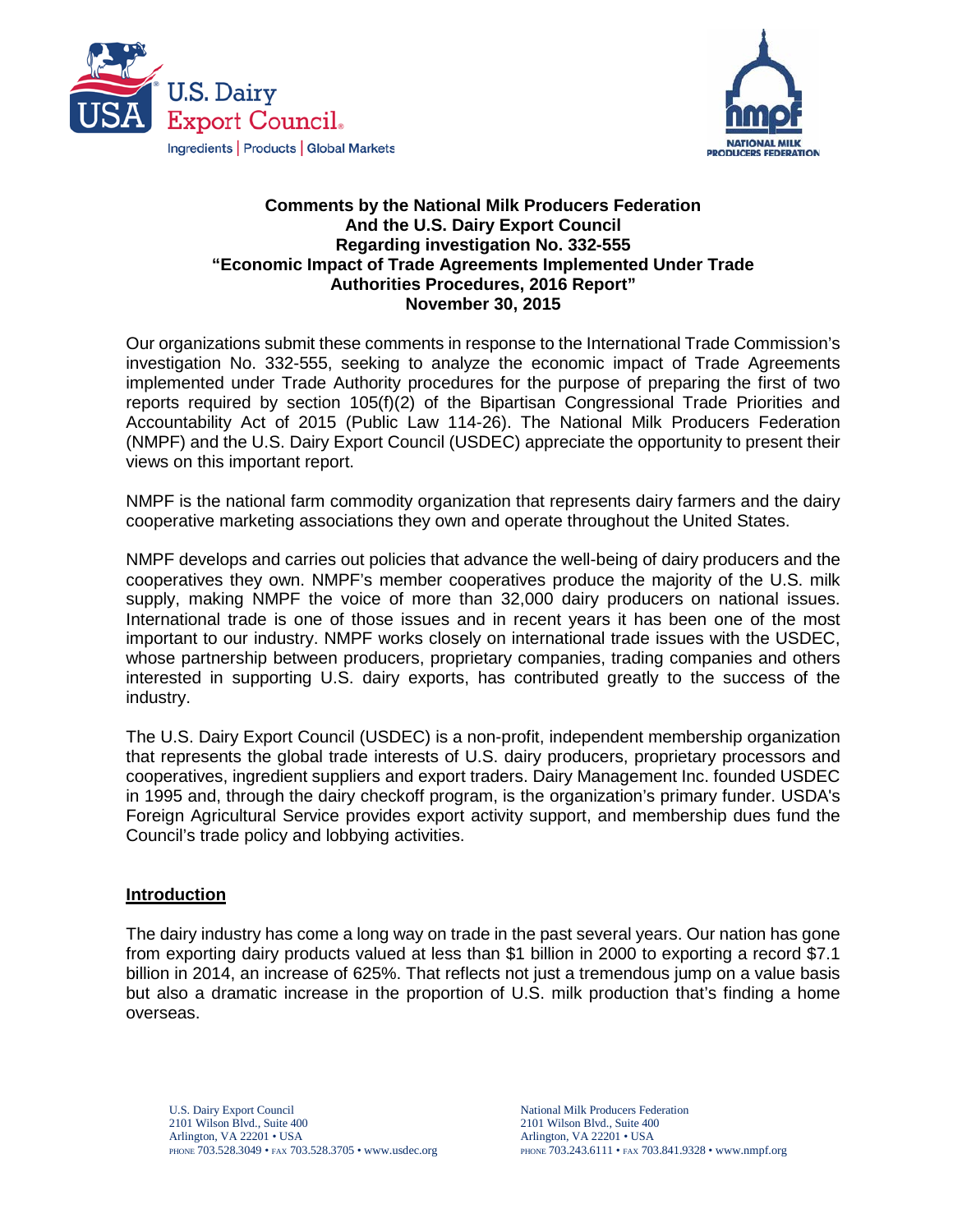



#### **Comments by the National Milk Producers Federation And the U.S. Dairy Export Council Regarding investigation No. 332-555 "Economic Impact of Trade Agreements Implemented Under Trade Authorities Procedures, 2016 Report" November 30, 2015**

Our organizations submit these comments in response to the International Trade Commission's investigation No. 332-555, seeking to analyze the economic impact of Trade Agreements implemented under Trade Authority procedures for the purpose of preparing the first of two reports required by section 105(f)(2) of the Bipartisan Congressional Trade Priorities and Accountability Act of 2015 (Public Law 114-26). The National Milk Producers Federation (NMPF) and the U.S. Dairy Export Council (USDEC) appreciate the opportunity to present their views on this important report.

NMPF is the national farm commodity organization that represents dairy farmers and the dairy cooperative marketing associations they own and operate throughout the United States.

NMPF develops and carries out policies that advance the well-being of dairy producers and the cooperatives they own. NMPF's member cooperatives produce the majority of the U.S. milk supply, making NMPF the voice of more than 32,000 dairy producers on national issues. International trade is one of those issues and in recent years it has been one of the most important to our industry. NMPF works closely on international trade issues with the USDEC, whose partnership between producers, proprietary companies, trading companies and others interested in supporting U.S. dairy exports, has contributed greatly to the success of the industry.

The U.S. Dairy Export Council (USDEC) is a non-profit, independent membership organization that represents the global trade interests of U.S. dairy producers, proprietary processors and cooperatives, ingredient suppliers and export traders. Dairy Management Inc. founded USDEC in 1995 and, through the dairy checkoff program, is the organization's primary funder. USDA's Foreign Agricultural Service provides export activity support, and membership dues fund the Council's trade policy and lobbying activities.

#### **Introduction**

The dairy industry has come a long way on trade in the past several years. Our nation has gone from exporting dairy products valued at less than \$1 billion in 2000 to exporting a record \$7.1 billion in 2014, an increase of 625%. That reflects not just a tremendous jump on a value basis but also a dramatic increase in the proportion of U.S. milk production that's finding a home overseas.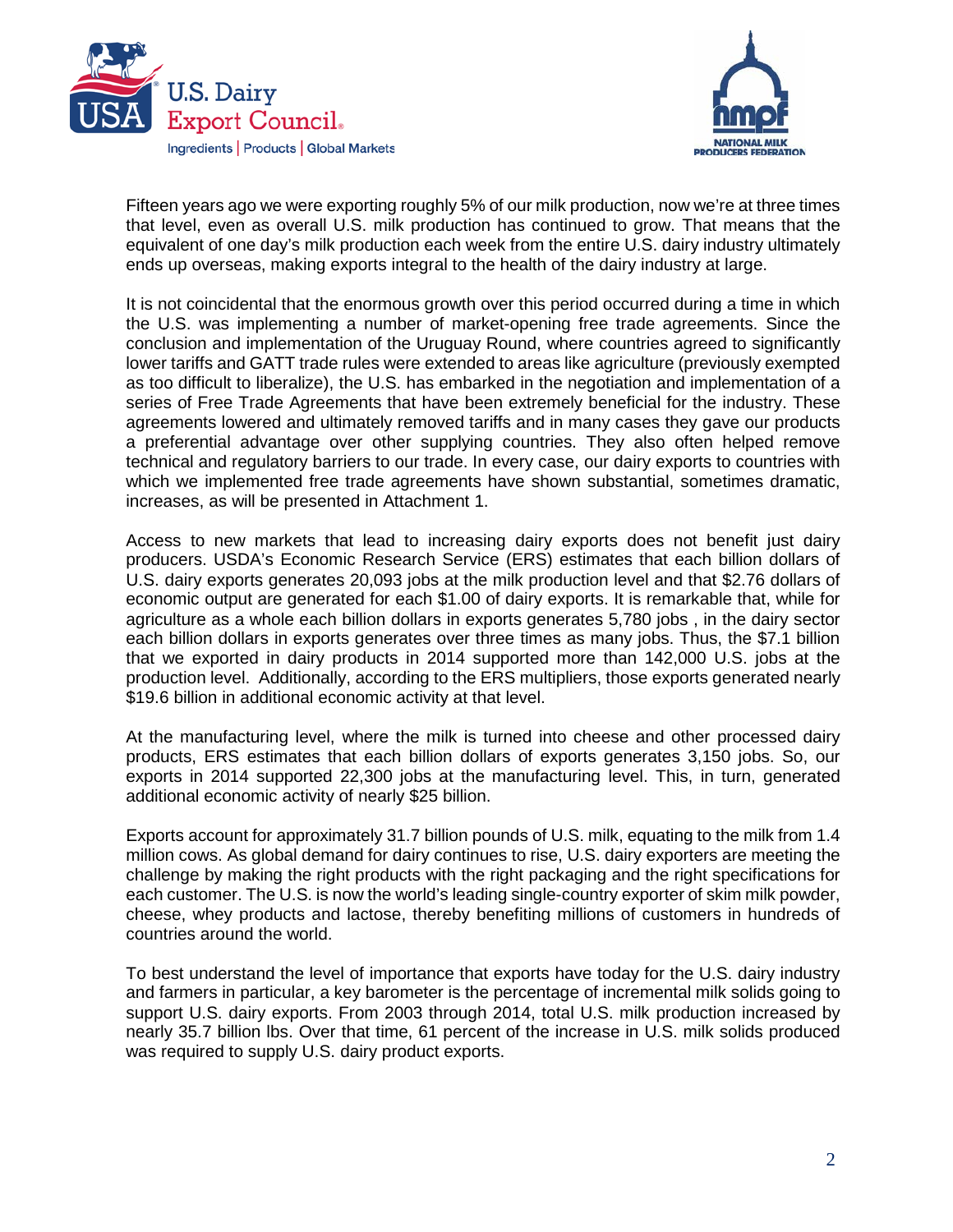



Fifteen years ago we were exporting roughly 5% of our milk production, now we're at three times that level, even as overall U.S. milk production has continued to grow. That means that the equivalent of one day's milk production each week from the entire U.S. dairy industry ultimately ends up overseas, making exports integral to the health of the dairy industry at large.

It is not coincidental that the enormous growth over this period occurred during a time in which the U.S. was implementing a number of market-opening free trade agreements. Since the conclusion and implementation of the Uruguay Round, where countries agreed to significantly lower tariffs and GATT trade rules were extended to areas like agriculture (previously exempted as too difficult to liberalize), the U.S. has embarked in the negotiation and implementation of a series of Free Trade Agreements that have been extremely beneficial for the industry. These agreements lowered and ultimately removed tariffs and in many cases they gave our products a preferential advantage over other supplying countries. They also often helped remove technical and regulatory barriers to our trade. In every case, our dairy exports to countries with which we implemented free trade agreements have shown substantial, sometimes dramatic, increases, as will be presented in Attachment 1.

Access to new markets that lead to increasing dairy exports does not benefit just dairy producers. USDA's Economic Research Service (ERS) estimates that each billion dollars of U.S. dairy exports generates 20,093 jobs at the milk production level and that \$2.76 dollars of economic output are generated for each \$1.00 of dairy exports. It is remarkable that, while for agriculture as a whole each billion dollars in exports generates 5,780 jobs , in the dairy sector each billion dollars in exports generates over three times as many jobs. Thus, the \$7.1 billion that we exported in dairy products in 2014 supported more than 142,000 U.S. jobs at the production level. Additionally, according to the ERS multipliers, those exports generated nearly \$19.6 billion in additional economic activity at that level.

At the manufacturing level, where the milk is turned into cheese and other processed dairy products, ERS estimates that each billion dollars of exports generates 3,150 jobs. So, our exports in 2014 supported 22,300 jobs at the manufacturing level. This, in turn, generated additional economic activity of nearly \$25 billion.

Exports account for approximately 31.7 billion pounds of U.S. milk, equating to the milk from 1.4 million cows. As global demand for dairy continues to rise, U.S. dairy exporters are meeting the challenge by making the right products with the right packaging and the right specifications for each customer. The U.S. is now the world's leading single-country exporter of skim milk powder, cheese, whey products and lactose, thereby benefiting millions of customers in hundreds of countries around the world.

To best understand the level of importance that exports have today for the U.S. dairy industry and farmers in particular, a key barometer is the percentage of incremental milk solids going to support U.S. dairy exports. From 2003 through 2014, total U.S. milk production increased by nearly 35.7 billion lbs. Over that time, 61 percent of the increase in U.S. milk solids produced was required to supply U.S. dairy product exports.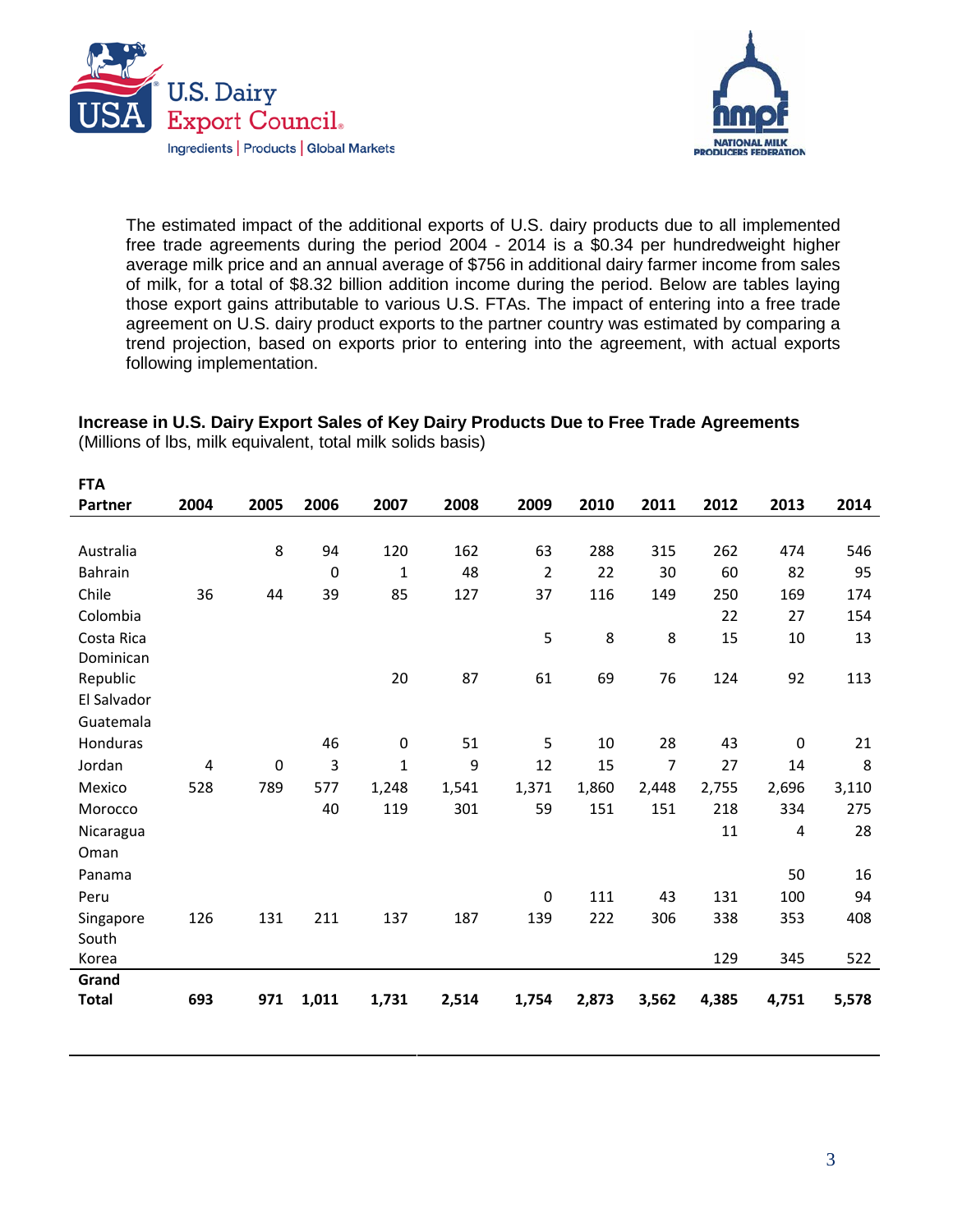



The estimated impact of the additional exports of U.S. dairy products due to all implemented free trade agreements during the period 2004 - 2014 is a \$0.34 per hundredweight higher average milk price and an annual average of \$756 in additional dairy farmer income from sales of milk, for a total of \$8.32 billion addition income during the period. Below are tables laying those export gains attributable to various U.S. FTAs. The impact of entering into a free trade agreement on U.S. dairy product exports to the partner country was estimated by comparing a trend projection, based on exports prior to entering into the agreement, with actual exports following implementation.

# **Increase in U.S. Dairy Export Sales of Key Dairy Products Due to Free Trade Agreements**

(Millions of lbs, milk equivalent, total milk solids basis)

| <b>FTA</b>   |      |      |             |       |       |                |       |       |       |                  |       |
|--------------|------|------|-------------|-------|-------|----------------|-------|-------|-------|------------------|-------|
| Partner      | 2004 | 2005 | 2006        | 2007  | 2008  | 2009           | 2010  | 2011  | 2012  | 2013             | 2014  |
|              |      |      |             |       |       |                |       |       |       |                  |       |
| Australia    |      | 8    | 94          | 120   | 162   | 63             | 288   | 315   | 262   | 474              | 546   |
| Bahrain      |      |      | $\mathbf 0$ | 1     | 48    | $\overline{2}$ | 22    | 30    | 60    | 82               | 95    |
| Chile        | 36   | 44   | 39          | 85    | 127   | 37             | 116   | 149   | 250   | 169              | 174   |
| Colombia     |      |      |             |       |       |                |       |       | 22    | 27               | 154   |
| Costa Rica   |      |      |             |       |       | 5              | 8     | 8     | 15    | 10               | 13    |
| Dominican    |      |      |             |       |       |                |       |       |       |                  |       |
| Republic     |      |      |             | 20    | 87    | 61             | 69    | 76    | 124   | 92               | 113   |
| El Salvador  |      |      |             |       |       |                |       |       |       |                  |       |
| Guatemala    |      |      |             |       |       |                |       |       |       |                  |       |
| Honduras     |      |      | 46          | 0     | 51    | 5              | 10    | 28    | 43    | $\boldsymbol{0}$ | 21    |
| Jordan       | 4    | 0    | 3           | 1     | 9     | 12             | 15    | 7     | 27    | 14               | 8     |
| Mexico       | 528  | 789  | 577         | 1,248 | 1,541 | 1,371          | 1,860 | 2,448 | 2,755 | 2,696            | 3,110 |
| Morocco      |      |      | 40          | 119   | 301   | 59             | 151   | 151   | 218   | 334              | 275   |
| Nicaragua    |      |      |             |       |       |                |       |       | 11    | 4                | 28    |
| Oman         |      |      |             |       |       |                |       |       |       |                  |       |
| Panama       |      |      |             |       |       |                |       |       |       | 50               | 16    |
| Peru         |      |      |             |       |       | $\mathbf 0$    | 111   | 43    | 131   | 100              | 94    |
| Singapore    | 126  | 131  | 211         | 137   | 187   | 139            | 222   | 306   | 338   | 353              | 408   |
| South        |      |      |             |       |       |                |       |       |       |                  |       |
| Korea        |      |      |             |       |       |                |       |       | 129   | 345              | 522   |
| Grand        |      |      |             |       |       |                |       |       |       |                  |       |
| <b>Total</b> | 693  | 971  | 1,011       | 1,731 | 2,514 | 1,754          | 2,873 | 3,562 | 4,385 | 4,751            | 5,578 |
|              |      |      |             |       |       |                |       |       |       |                  |       |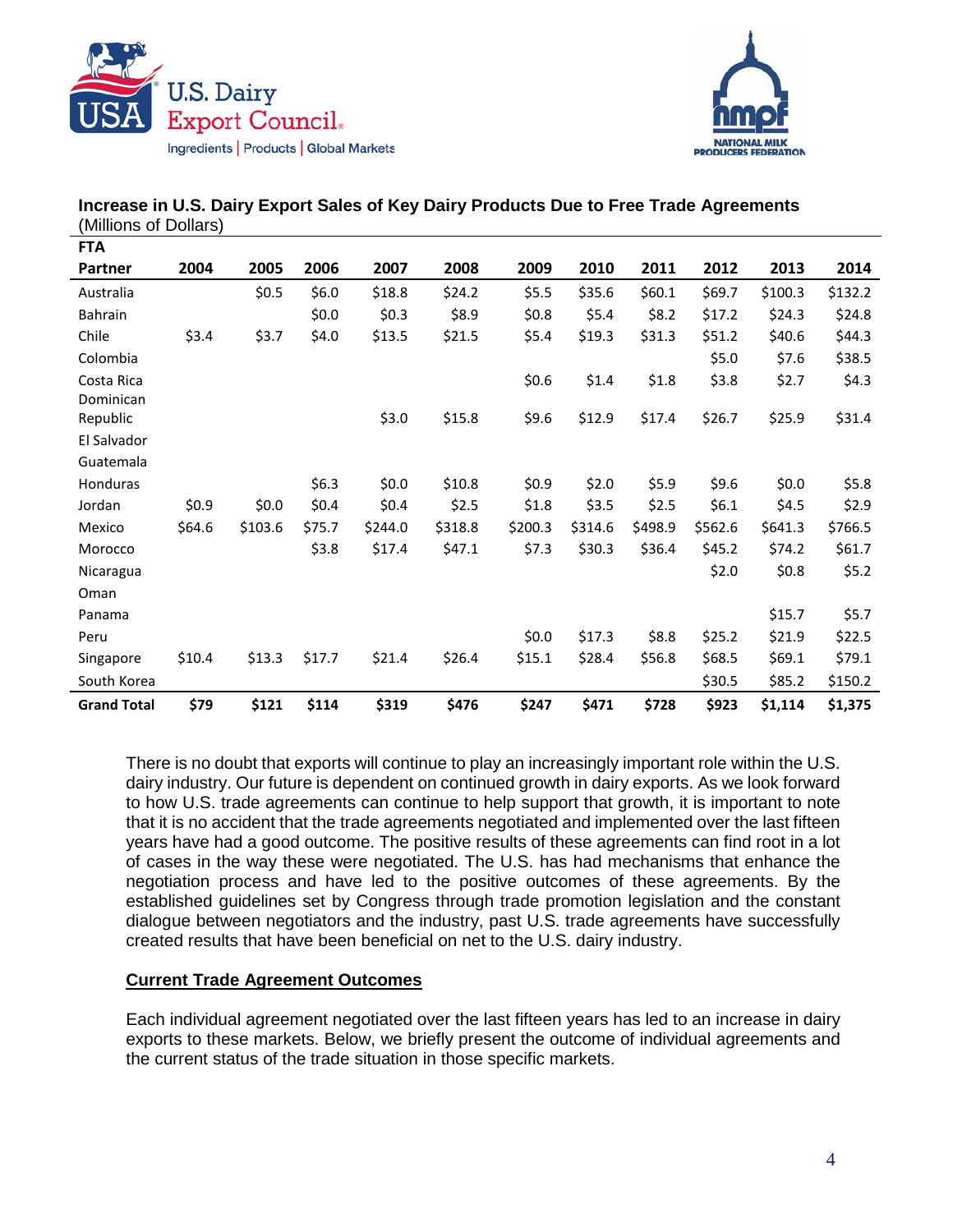



| <b>FTA</b>         |        |         |         |         |         |         |         |         |         |         |         |
|--------------------|--------|---------|---------|---------|---------|---------|---------|---------|---------|---------|---------|
| Partner            | 2004   | 2005    | 2006    | 2007    | 2008    | 2009    | 2010    | 2011    | 2012    | 2013    | 2014    |
| Australia          |        | \$0.5   | \$6.0   | \$18.8  | \$24.2  | \$5.5   | \$35.6  | \$60.1  | \$69.7  | \$100.3 | \$132.2 |
| Bahrain            |        |         | \$0.0\$ | \$0.3\$ | \$8.9   | \$0.8   | \$5.4   | \$8.2   | \$17.2  | \$24.3  | \$24.8  |
| Chile              | \$3.4  | \$3.7   | \$4.0   | \$13.5  | \$21.5  | \$5.4   | \$19.3  | \$31.3  | \$51.2  | \$40.6  | \$44.3  |
| Colombia           |        |         |         |         |         |         |         |         | \$5.0   | \$7.6   | \$38.5  |
| Costa Rica         |        |         |         |         |         | \$0.6   | \$1.4   | \$1.8   | \$3.8   | \$2.7   | \$4.3   |
| Dominican          |        |         |         |         |         |         |         |         |         |         |         |
| Republic           |        |         |         | \$3.0   | \$15.8  | \$9.6   | \$12.9  | \$17.4  | \$26.7  | \$25.9  | \$31.4  |
| El Salvador        |        |         |         |         |         |         |         |         |         |         |         |
| Guatemala          |        |         |         |         |         |         |         |         |         |         |         |
| Honduras           |        |         | \$6.3\$ | \$0.0\$ | \$10.8  | \$0.9   | \$2.0   | \$5.9   | \$9.6   | \$0.0\$ | \$5.8   |
| Jordan             | \$0.9  | \$0.0\$ | \$0.4\$ | \$0.4\$ | \$2.5   | \$1.8   | \$3.5   | \$2.5   | \$6.1   | \$4.5   | \$2.9   |
| Mexico             | \$64.6 | \$103.6 | \$75.7  | \$244.0 | \$318.8 | \$200.3 | \$314.6 | \$498.9 | \$562.6 | \$641.3 | \$766.5 |
| Morocco            |        |         | \$3.8   | \$17.4  | \$47.1  | \$7.3   | \$30.3  | \$36.4  | \$45.2  | \$74.2  | \$61.7  |
| Nicaragua          |        |         |         |         |         |         |         |         | \$2.0   | \$0.8   | \$5.2   |
| Oman               |        |         |         |         |         |         |         |         |         |         |         |
| Panama             |        |         |         |         |         |         |         |         |         | \$15.7  | \$5.7   |
| Peru               |        |         |         |         |         | \$0.0   | \$17.3  | \$8.8   | \$25.2  | \$21.9  | \$22.5  |
| Singapore          | \$10.4 | \$13.3  | \$17.7  | \$21.4  | \$26.4  | \$15.1  | \$28.4  | \$56.8  | \$68.5  | \$69.1  | \$79.1  |
| South Korea        |        |         |         |         |         |         |         |         | \$30.5  | \$85.2  | \$150.2 |
| <b>Grand Total</b> | \$79   | \$121   | \$114   | \$319   | \$476   | \$247   | \$471   | \$728   | \$923   | \$1,114 | \$1,375 |

### **Increase in U.S. Dairy Export Sales of Key Dairy Products Due to Free Trade Agreements** (Millions of Dollars)

There is no doubt that exports will continue to play an increasingly important role within the U.S. dairy industry. Our future is dependent on continued growth in dairy exports. As we look forward to how U.S. trade agreements can continue to help support that growth, it is important to note that it is no accident that the trade agreements negotiated and implemented over the last fifteen years have had a good outcome. The positive results of these agreements can find root in a lot of cases in the way these were negotiated. The U.S. has had mechanisms that enhance the negotiation process and have led to the positive outcomes of these agreements. By the established guidelines set by Congress through trade promotion legislation and the constant dialogue between negotiators and the industry, past U.S. trade agreements have successfully created results that have been beneficial on net to the U.S. dairy industry.

### **Current Trade Agreement Outcomes**

Each individual agreement negotiated over the last fifteen years has led to an increase in dairy exports to these markets. Below, we briefly present the outcome of individual agreements and the current status of the trade situation in those specific markets.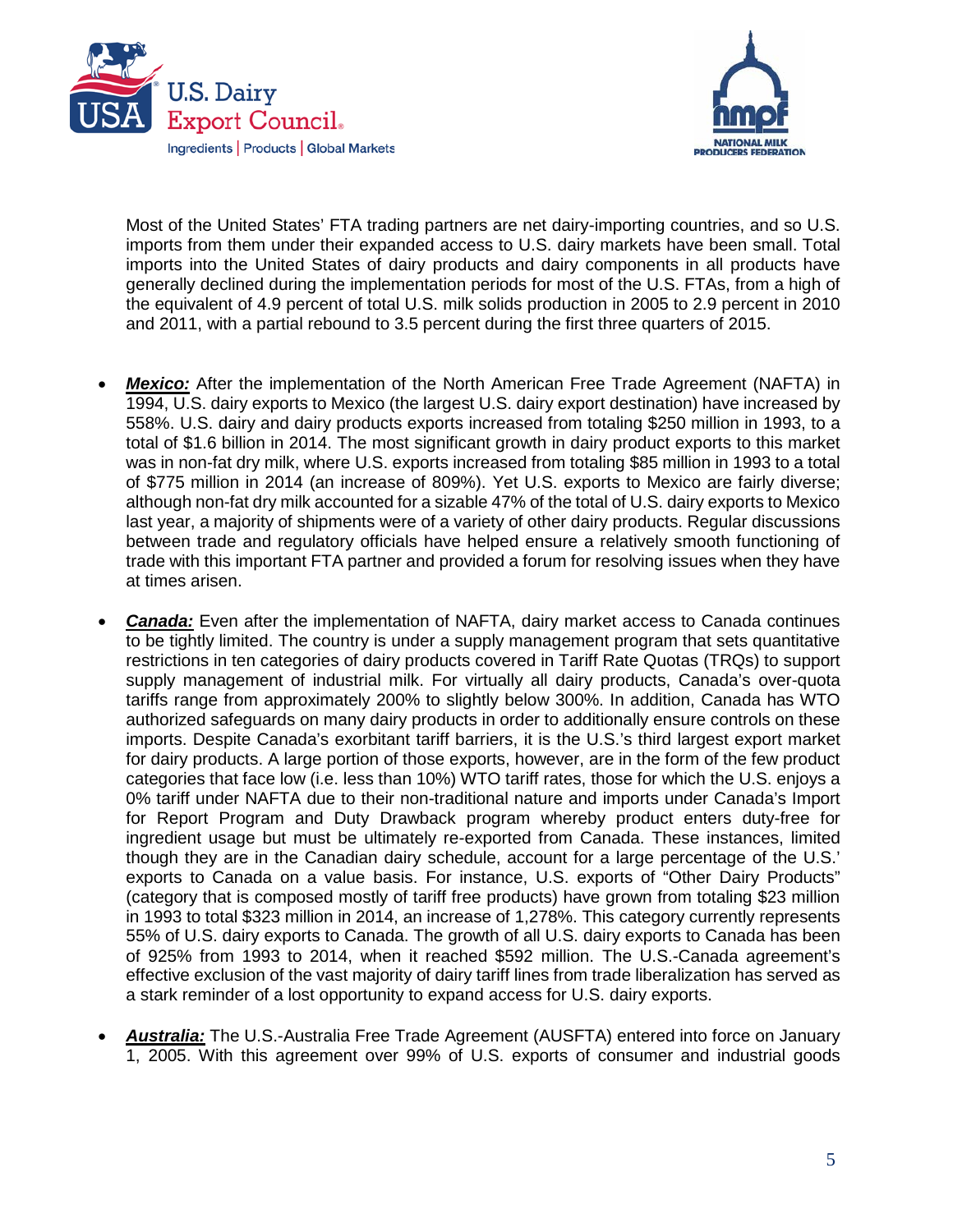



Most of the United States' FTA trading partners are net dairy-importing countries, and so U.S. imports from them under their expanded access to U.S. dairy markets have been small. Total imports into the United States of dairy products and dairy components in all products have generally declined during the implementation periods for most of the U.S. FTAs, from a high of the equivalent of 4.9 percent of total U.S. milk solids production in 2005 to 2.9 percent in 2010 and 2011, with a partial rebound to 3.5 percent during the first three quarters of 2015.

- **Mexico:** After the implementation of the North American Free Trade Agreement (NAFTA) in 1994, U.S. dairy exports to Mexico (the largest U.S. dairy export destination) have increased by 558%. U.S. dairy and dairy products exports increased from totaling \$250 million in 1993, to a total of \$1.6 billion in 2014. The most significant growth in dairy product exports to this market was in non-fat dry milk, where U.S. exports increased from totaling \$85 million in 1993 to a total of \$775 million in 2014 (an increase of 809%). Yet U.S. exports to Mexico are fairly diverse; although non-fat dry milk accounted for a sizable 47% of the total of U.S. dairy exports to Mexico last year, a majority of shipments were of a variety of other dairy products. Regular discussions between trade and regulatory officials have helped ensure a relatively smooth functioning of trade with this important FTA partner and provided a forum for resolving issues when they have at times arisen.
- *Canada:* Even after the implementation of NAFTA, dairy market access to Canada continues to be tightly limited. The country is under a supply management program that sets quantitative restrictions in ten categories of dairy products covered in Tariff Rate Quotas (TRQs) to support supply management of industrial milk. For virtually all dairy products, Canada's over-quota tariffs range from approximately 200% to slightly below 300%. In addition, Canada has WTO authorized safeguards on many dairy products in order to additionally ensure controls on these imports. Despite Canada's exorbitant tariff barriers, it is the U.S.'s third largest export market for dairy products. A large portion of those exports, however, are in the form of the few product categories that face low (i.e. less than 10%) WTO tariff rates, those for which the U.S. enjoys a 0% tariff under NAFTA due to their non-traditional nature and imports under Canada's Import for Report Program and Duty Drawback program whereby product enters duty-free for ingredient usage but must be ultimately re-exported from Canada. These instances, limited though they are in the Canadian dairy schedule, account for a large percentage of the U.S.' exports to Canada on a value basis. For instance, U.S. exports of "Other Dairy Products" (category that is composed mostly of tariff free products) have grown from totaling \$23 million in 1993 to total \$323 million in 2014, an increase of 1,278%. This category currently represents 55% of U.S. dairy exports to Canada. The growth of all U.S. dairy exports to Canada has been of 925% from 1993 to 2014, when it reached \$592 million. The U.S.-Canada agreement's effective exclusion of the vast majority of dairy tariff lines from trade liberalization has served as a stark reminder of a lost opportunity to expand access for U.S. dairy exports.
- *Australia:* The U.S.-Australia Free Trade Agreement (AUSFTA) entered into force on January 1, 2005. With this agreement over 99% of U.S. exports of consumer and industrial goods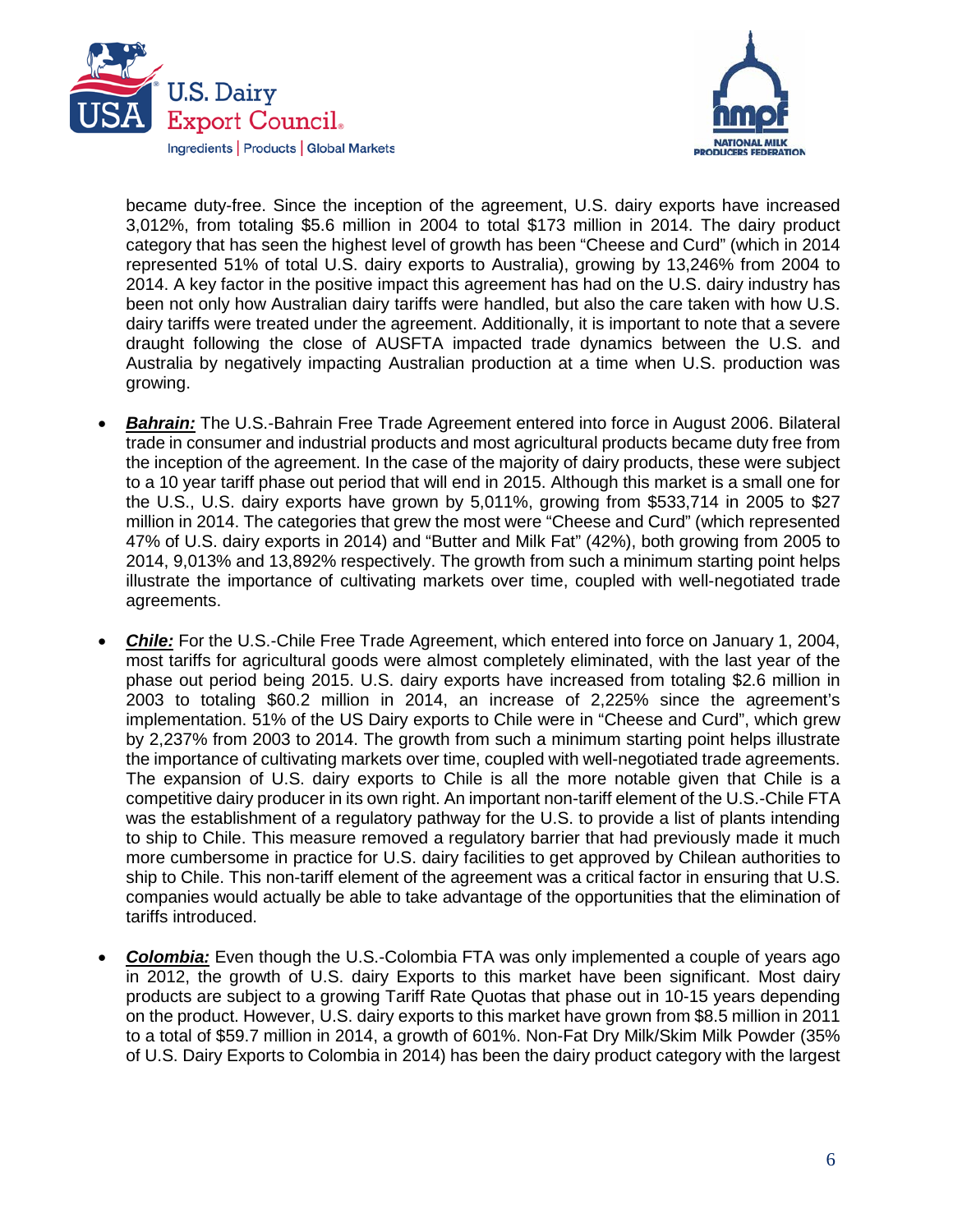



became duty-free. Since the inception of the agreement, U.S. dairy exports have increased 3,012%, from totaling \$5.6 million in 2004 to total \$173 million in 2014. The dairy product category that has seen the highest level of growth has been "Cheese and Curd" (which in 2014 represented 51% of total U.S. dairy exports to Australia), growing by 13,246% from 2004 to 2014. A key factor in the positive impact this agreement has had on the U.S. dairy industry has been not only how Australian dairy tariffs were handled, but also the care taken with how U.S. dairy tariffs were treated under the agreement. Additionally, it is important to note that a severe draught following the close of AUSFTA impacted trade dynamics between the U.S. and Australia by negatively impacting Australian production at a time when U.S. production was growing.

- *Bahrain:* The U.S.-Bahrain Free Trade Agreement entered into force in August 2006. Bilateral trade in consumer and industrial products and most agricultural products became duty free from the inception of the agreement. In the case of the majority of dairy products, these were subject to a 10 year tariff phase out period that will end in 2015. Although this market is a small one for the U.S., U.S. dairy exports have grown by 5,011%, growing from \$533,714 in 2005 to \$27 million in 2014. The categories that grew the most were "Cheese and Curd" (which represented 47% of U.S. dairy exports in 2014) and "Butter and Milk Fat" (42%), both growing from 2005 to 2014, 9,013% and 13,892% respectively. The growth from such a minimum starting point helps illustrate the importance of cultivating markets over time, coupled with well-negotiated trade agreements.
- *Chile:* For the U.S.-Chile Free Trade Agreement, which entered into force on January 1, 2004, most tariffs for agricultural goods were almost completely eliminated, with the last year of the phase out period being 2015. U.S. dairy exports have increased from totaling \$2.6 million in 2003 to totaling \$60.2 million in 2014, an increase of 2,225% since the agreement's implementation. 51% of the US Dairy exports to Chile were in "Cheese and Curd", which grew by 2,237% from 2003 to 2014. The growth from such a minimum starting point helps illustrate the importance of cultivating markets over time, coupled with well-negotiated trade agreements. The expansion of U.S. dairy exports to Chile is all the more notable given that Chile is a competitive dairy producer in its own right. An important non-tariff element of the U.S.-Chile FTA was the establishment of a regulatory pathway for the U.S. to provide a list of plants intending to ship to Chile. This measure removed a regulatory barrier that had previously made it much more cumbersome in practice for U.S. dairy facilities to get approved by Chilean authorities to ship to Chile. This non-tariff element of the agreement was a critical factor in ensuring that U.S. companies would actually be able to take advantage of the opportunities that the elimination of tariffs introduced.
- *Colombia:* Even though the U.S.-Colombia FTA was only implemented a couple of years ago in 2012, the growth of U.S. dairy Exports to this market have been significant. Most dairy products are subject to a growing Tariff Rate Quotas that phase out in 10-15 years depending on the product. However, U.S. dairy exports to this market have grown from \$8.5 million in 2011 to a total of \$59.7 million in 2014, a growth of 601%. Non-Fat Dry Milk/Skim Milk Powder (35% of U.S. Dairy Exports to Colombia in 2014) has been the dairy product category with the largest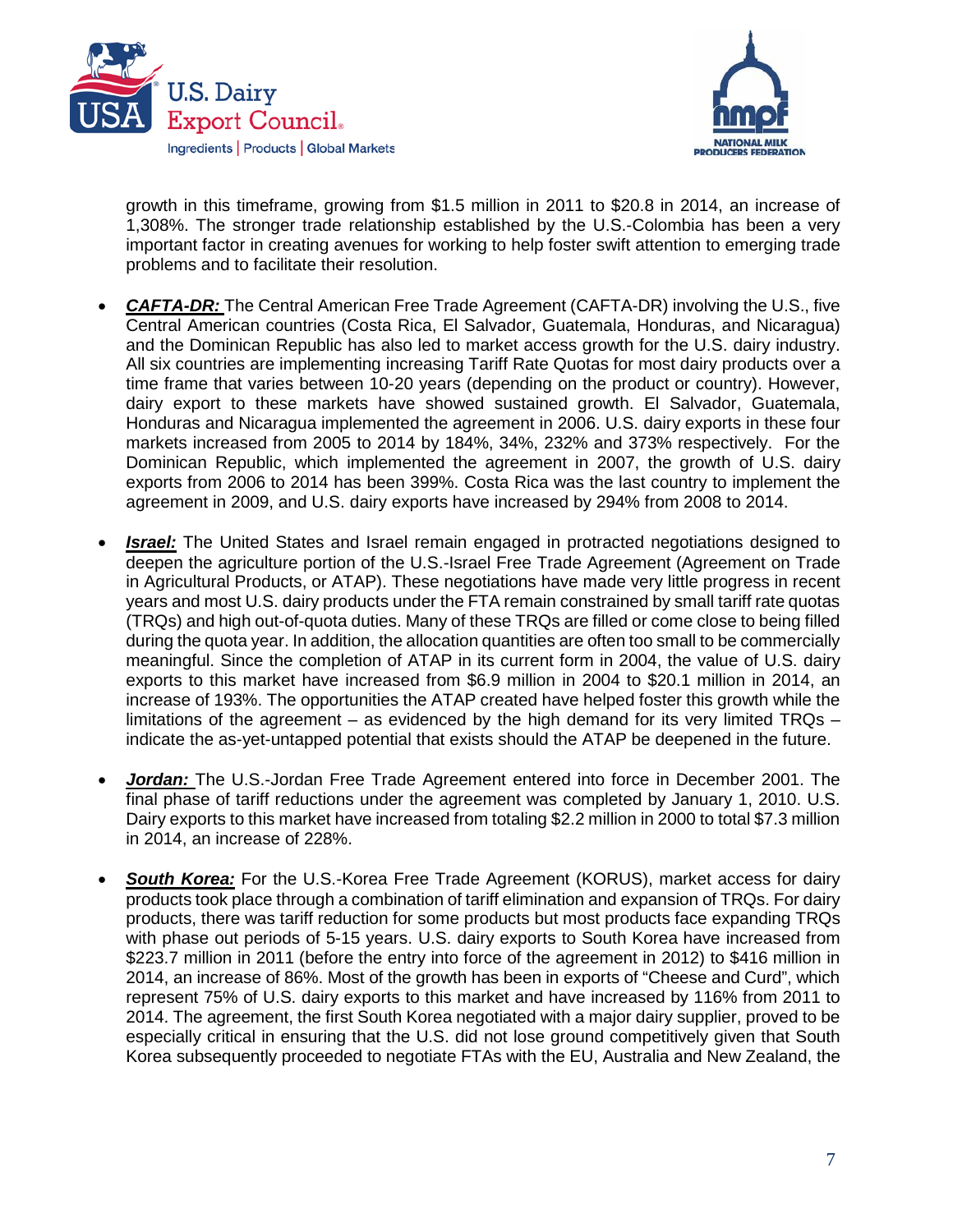



growth in this timeframe, growing from \$1.5 million in 2011 to \$20.8 in 2014, an increase of 1,308%. The stronger trade relationship established by the U.S.-Colombia has been a very important factor in creating avenues for working to help foster swift attention to emerging trade problems and to facilitate their resolution.

- *CAFTA-DR:* The Central American Free Trade Agreement (CAFTA-DR) involving the U.S., five Central American countries (Costa Rica, El Salvador, Guatemala, Honduras, and Nicaragua) and the Dominican Republic has also led to market access growth for the U.S. dairy industry. All six countries are implementing increasing Tariff Rate Quotas for most dairy products over a time frame that varies between 10-20 years (depending on the product or country). However, dairy export to these markets have showed sustained growth. El Salvador, Guatemala, Honduras and Nicaragua implemented the agreement in 2006. U.S. dairy exports in these four markets increased from 2005 to 2014 by 184%, 34%, 232% and 373% respectively. For the Dominican Republic, which implemented the agreement in 2007, the growth of U.S. dairy exports from 2006 to 2014 has been 399%. Costa Rica was the last country to implement the agreement in 2009, and U.S. dairy exports have increased by 294% from 2008 to 2014.
- **Israel:** The United States and Israel remain engaged in protracted negotiations designed to deepen the agriculture portion of the U.S.-Israel Free Trade Agreement (Agreement on Trade in Agricultural Products, or ATAP). These negotiations have made very little progress in recent years and most U.S. dairy products under the FTA remain constrained by small tariff rate quotas (TRQs) and high out-of-quota duties. Many of these TRQs are filled or come close to being filled during the quota year. In addition, the allocation quantities are often too small to be commercially meaningful. Since the completion of ATAP in its current form in 2004, the value of U.S. dairy exports to this market have increased from \$6.9 million in 2004 to \$20.1 million in 2014, an increase of 193%. The opportunities the ATAP created have helped foster this growth while the limitations of the agreement – as evidenced by the high demand for its very limited  $TRQs$  – indicate the as-yet-untapped potential that exists should the ATAP be deepened in the future.
- *Jordan:* The U.S.-Jordan Free Trade Agreement entered into force in December 2001. The final phase of tariff reductions under the agreement was completed by January 1, 2010. U.S. Dairy exports to this market have increased from totaling \$2.2 million in 2000 to total \$7.3 million in 2014, an increase of 228%.
- *South Korea:* For the U.S.-Korea Free Trade Agreement (KORUS), market access for dairy products took place through a combination of tariff elimination and expansion of TRQs. For dairy products, there was tariff reduction for some products but most products face expanding TRQs with phase out periods of 5-15 years. U.S. dairy exports to South Korea have increased from \$223.7 million in 2011 (before the entry into force of the agreement in 2012) to \$416 million in 2014, an increase of 86%. Most of the growth has been in exports of "Cheese and Curd", which represent 75% of U.S. dairy exports to this market and have increased by 116% from 2011 to 2014. The agreement, the first South Korea negotiated with a major dairy supplier, proved to be especially critical in ensuring that the U.S. did not lose ground competitively given that South Korea subsequently proceeded to negotiate FTAs with the EU, Australia and New Zealand, the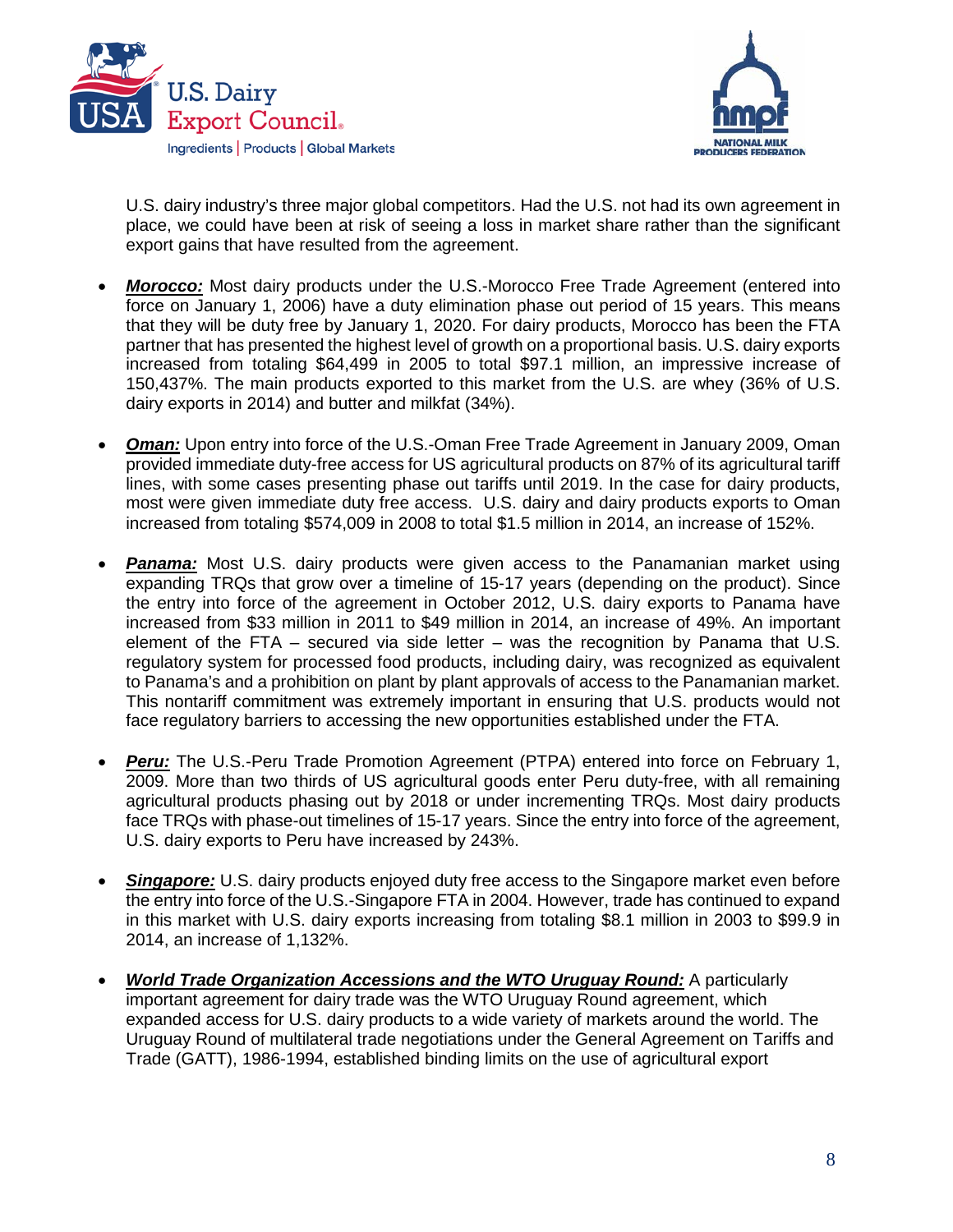



U.S. dairy industry's three major global competitors. Had the U.S. not had its own agreement in place, we could have been at risk of seeing a loss in market share rather than the significant export gains that have resulted from the agreement.

- *Morocco:* Most dairy products under the U.S.-Morocco Free Trade Agreement (entered into force on January 1, 2006) have a duty elimination phase out period of 15 years. This means that they will be duty free by January 1, 2020. For dairy products, Morocco has been the FTA partner that has presented the highest level of growth on a proportional basis. U.S. dairy exports increased from totaling \$64,499 in 2005 to total \$97.1 million, an impressive increase of 150,437%. The main products exported to this market from the U.S. are whey (36% of U.S. dairy exports in 2014) and butter and milkfat (34%).
- *Oman:* Upon entry into force of the U.S.-Oman Free Trade Agreement in January 2009, Oman provided immediate duty-free access for US agricultural products on 87% of its agricultural tariff lines, with some cases presenting phase out tariffs until 2019. In the case for dairy products, most were given immediate duty free access. U.S. dairy and dairy products exports to Oman increased from totaling \$574,009 in 2008 to total \$1.5 million in 2014, an increase of 152%.
- **Panama:** Most U.S. dairy products were given access to the Panamanian market using expanding TRQs that grow over a timeline of 15-17 years (depending on the product). Since the entry into force of the agreement in October 2012, U.S. dairy exports to Panama have increased from \$33 million in 2011 to \$49 million in 2014, an increase of 49%. An important element of the FTA – secured via side letter – was the recognition by Panama that U.S. regulatory system for processed food products, including dairy, was recognized as equivalent to Panama's and a prohibition on plant by plant approvals of access to the Panamanian market. This nontariff commitment was extremely important in ensuring that U.S. products would not face regulatory barriers to accessing the new opportunities established under the FTA.
- **Peru:** The U.S.-Peru Trade Promotion Agreement (PTPA) entered into force on February 1, 2009. More than two thirds of US agricultural goods enter Peru duty-free, with all remaining agricultural products phasing out by 2018 or under incrementing TRQs. Most dairy products face TRQs with phase-out timelines of 15-17 years. Since the entry into force of the agreement, U.S. dairy exports to Peru have increased by 243%.
- **Singapore:** U.S. dairy products enjoyed duty free access to the Singapore market even before the entry into force of the U.S.-Singapore FTA in 2004. However, trade has continued to expand in this market with U.S. dairy exports increasing from totaling \$8.1 million in 2003 to \$99.9 in 2014, an increase of 1,132%.
- *World Trade Organization Accessions and the WTO Uruguay Round:* A particularly important agreement for dairy trade was the WTO Uruguay Round agreement, which expanded access for U.S. dairy products to a wide variety of markets around the world. The Uruguay Round of multilateral trade negotiations under the General Agreement on Tariffs and Trade (GATT), 1986-1994, established binding limits on the use of agricultural export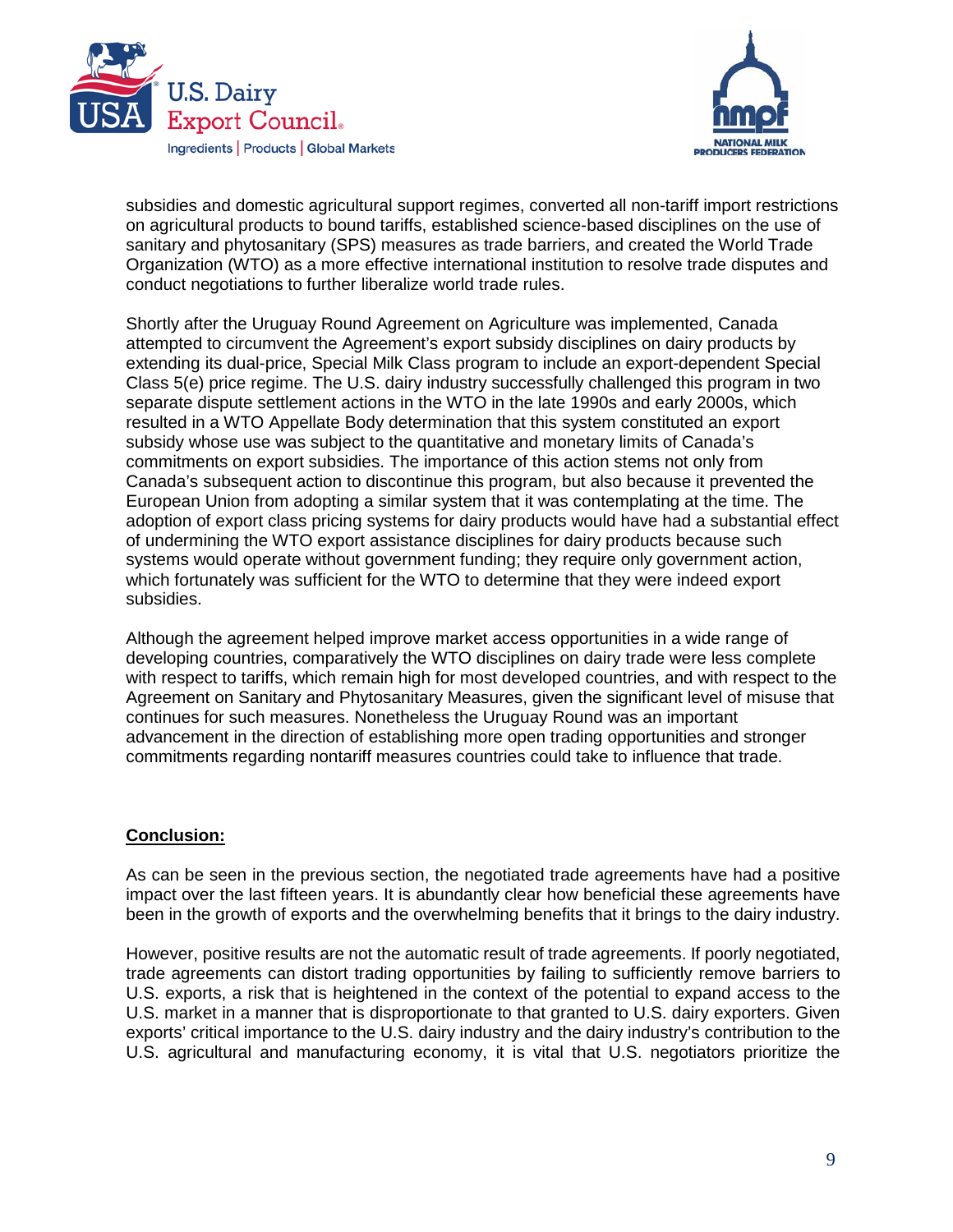



subsidies and domestic agricultural support regimes, converted all non-tariff import restrictions on agricultural products to bound tariffs, established science-based disciplines on the use of sanitary and phytosanitary (SPS) measures as trade barriers, and created the World Trade Organization (WTO) as a more effective international institution to resolve trade disputes and conduct negotiations to further liberalize world trade rules.

Shortly after the Uruguay Round Agreement on Agriculture was implemented, Canada attempted to circumvent the Agreement's export subsidy disciplines on dairy products by extending its dual-price, Special Milk Class program to include an export-dependent Special Class 5(e) price regime. The U.S. dairy industry successfully challenged this program in two separate dispute settlement actions in the WTO in the late 1990s and early 2000s, which resulted in a WTO Appellate Body determination that this system constituted an export subsidy whose use was subject to the quantitative and monetary limits of Canada's commitments on export subsidies. The importance of this action stems not only from Canada's subsequent action to discontinue this program, but also because it prevented the European Union from adopting a similar system that it was contemplating at the time. The adoption of export class pricing systems for dairy products would have had a substantial effect of undermining the WTO export assistance disciplines for dairy products because such systems would operate without government funding; they require only government action, which fortunately was sufficient for the WTO to determine that they were indeed export subsidies.

Although the agreement helped improve market access opportunities in a wide range of developing countries, comparatively the WTO disciplines on dairy trade were less complete with respect to tariffs, which remain high for most developed countries, and with respect to the Agreement on Sanitary and Phytosanitary Measures, given the significant level of misuse that continues for such measures. Nonetheless the Uruguay Round was an important advancement in the direction of establishing more open trading opportunities and stronger commitments regarding nontariff measures countries could take to influence that trade.

### **Conclusion:**

As can be seen in the previous section, the negotiated trade agreements have had a positive impact over the last fifteen years. It is abundantly clear how beneficial these agreements have been in the growth of exports and the overwhelming benefits that it brings to the dairy industry.

However, positive results are not the automatic result of trade agreements. If poorly negotiated, trade agreements can distort trading opportunities by failing to sufficiently remove barriers to U.S. exports, a risk that is heightened in the context of the potential to expand access to the U.S. market in a manner that is disproportionate to that granted to U.S. dairy exporters. Given exports' critical importance to the U.S. dairy industry and the dairy industry's contribution to the U.S. agricultural and manufacturing economy, it is vital that U.S. negotiators prioritize the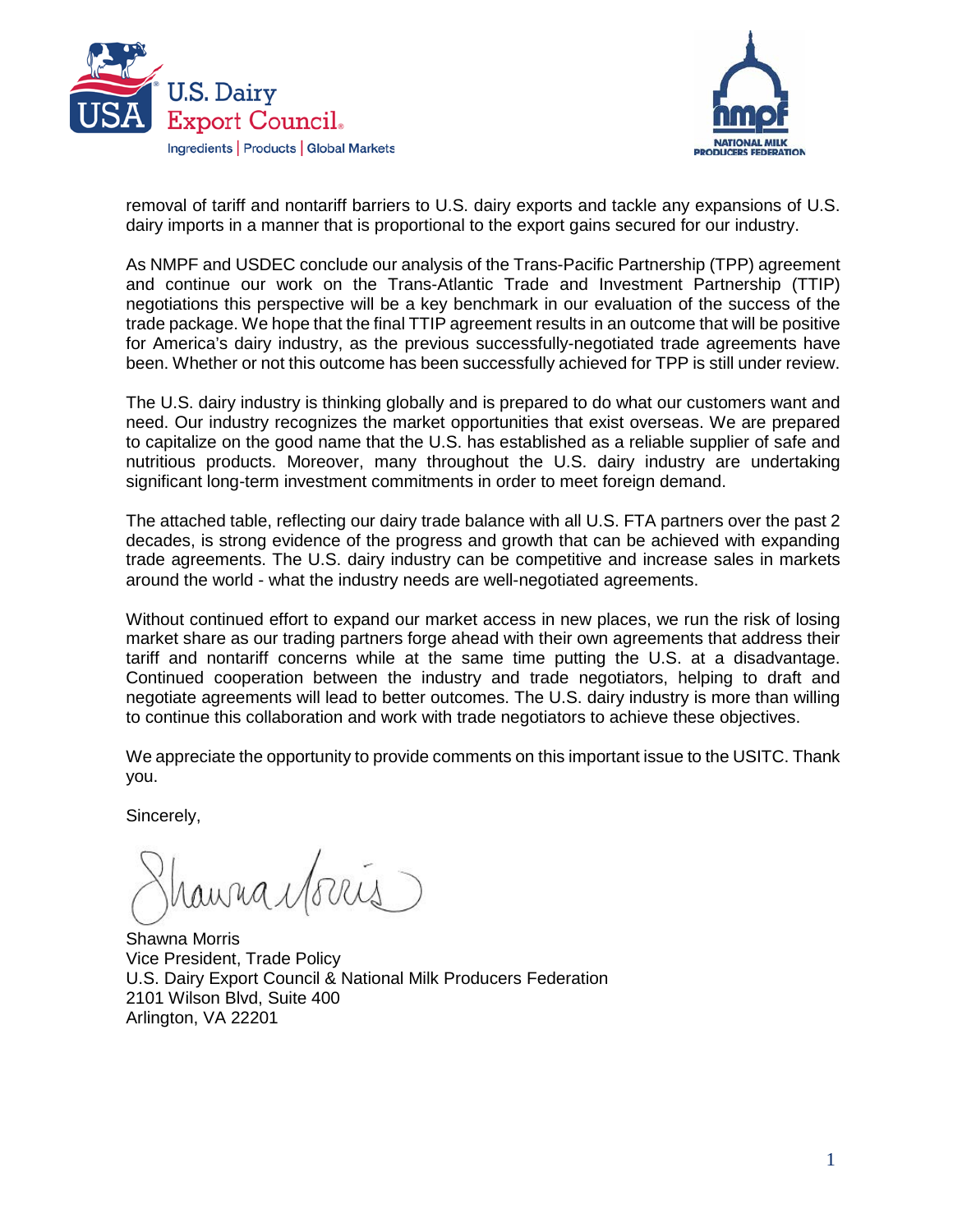



removal of tariff and nontariff barriers to U.S. dairy exports and tackle any expansions of U.S. dairy imports in a manner that is proportional to the export gains secured for our industry.

As NMPF and USDEC conclude our analysis of the Trans-Pacific Partnership (TPP) agreement and continue our work on the Trans-Atlantic Trade and Investment Partnership (TTIP) negotiations this perspective will be a key benchmark in our evaluation of the success of the trade package. We hope that the final TTIP agreement results in an outcome that will be positive for America's dairy industry, as the previous successfully-negotiated trade agreements have been. Whether or not this outcome has been successfully achieved for TPP is still under review.

The U.S. dairy industry is thinking globally and is prepared to do what our customers want and need. Our industry recognizes the market opportunities that exist overseas. We are prepared to capitalize on the good name that the U.S. has established as a reliable supplier of safe and nutritious products. Moreover, many throughout the U.S. dairy industry are undertaking significant long-term investment commitments in order to meet foreign demand.

The attached table, reflecting our dairy trade balance with all U.S. FTA partners over the past 2 decades, is strong evidence of the progress and growth that can be achieved with expanding trade agreements. The U.S. dairy industry can be competitive and increase sales in markets around the world - what the industry needs are well-negotiated agreements.

Without continued effort to expand our market access in new places, we run the risk of losing market share as our trading partners forge ahead with their own agreements that address their tariff and nontariff concerns while at the same time putting the U.S. at a disadvantage. Continued cooperation between the industry and trade negotiators, helping to draft and negotiate agreements will lead to better outcomes. The U.S. dairy industry is more than willing to continue this collaboration and work with trade negotiators to achieve these objectives.

We appreciate the opportunity to provide comments on this important issue to the USITC. Thank you.

Sincerely,

Inuna Monts

Shawna Morris Vice President, Trade Policy U.S. Dairy Export Council & National Milk Producers Federation 2101 Wilson Blvd, Suite 400 Arlington, VA 22201